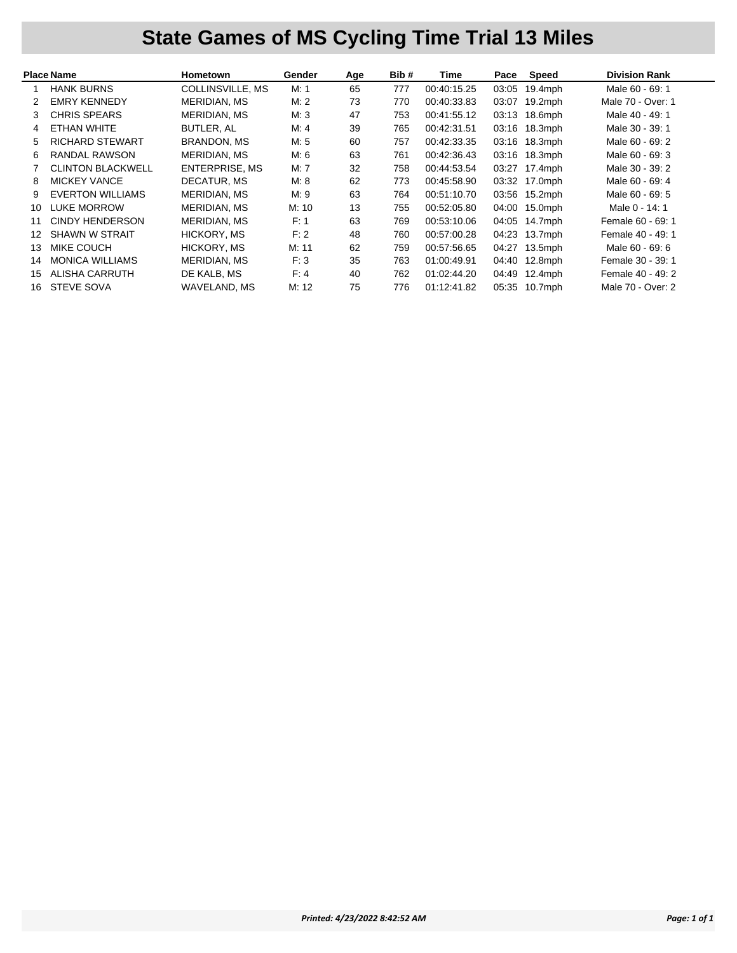## **State Games of MS Cycling Time Trial 13 Miles**

|    | <b>Place Name</b>        | Hometown              | Gender | Age | Bib# | Time        | Pace  | Speed      | <b>Division Rank</b> |
|----|--------------------------|-----------------------|--------|-----|------|-------------|-------|------------|----------------------|
|    | <b>HANK BURNS</b>        | COLLINSVILLE, MS      | M: 1   | 65  | 777  | 00:40:15.25 | 03:05 | $19.4$ mph | Male 60 - 69: 1      |
| 2  | <b>EMRY KENNEDY</b>      | <b>MERIDIAN, MS</b>   | M: 2   | 73  | 770  | 00:40:33.83 | 03:07 | $19.2$ mph | Male 70 - Over: 1    |
| 3  | <b>CHRIS SPEARS</b>      | MERIDIAN, MS          | M:3    | 47  | 753  | 00:41:55.12 | 03:13 | $18.6$ mph | Male 40 - 49: 1      |
| 4  | ETHAN WHITE              | BUTLER, AL            | M: 4   | 39  | 765  | 00:42:31.51 | 03:16 | 18.3mph    | Male 30 - 39: 1      |
| 5  | <b>RICHARD STEWART</b>   | <b>BRANDON, MS</b>    | M: 5   | 60  | 757  | 00:42:33.35 | 03:16 | $18.3$ mph | Male 60 - 69: 2      |
| 6  | RANDAL RAWSON            | MERIDIAN, MS          | M: 6   | 63  | 761  | 00:42:36.43 | 03:16 | 18.3mph    | Male 60 - 69: 3      |
|    | <b>CLINTON BLACKWELL</b> | <b>ENTERPRISE, MS</b> | M: 7   | 32  | 758  | 00:44:53.54 | 03:27 | 17.4mph    | Male 30 - 39: 2      |
| 8  | <b>MICKEY VANCE</b>      | DECATUR, MS           | M: 8   | 62  | 773  | 00:45:58.90 | 03:32 | $17.0$ mph | Male 60 - 69: 4      |
| 9  | <b>EVERTON WILLIAMS</b>  | MERIDIAN, MS          | M: 9   | 63  | 764  | 00:51:10.70 | 03:56 | $15.2$ mph | Male 60 - 69: 5      |
| 10 | <b>LUKE MORROW</b>       | MERIDIAN, MS          | M: 10  | 13  | 755  | 00:52:05.80 | 04:00 | 15.0mph    | Male 0 - 14: 1       |
| 11 | CINDY HENDERSON          | MERIDIAN, MS          | F: 1   | 63  | 769  | 00:53:10.06 | 04:05 | 14.7mph    | Female 60 - 69: 1    |
| 12 | <b>SHAWN W STRAIT</b>    | HICKORY, MS           | F: 2   | 48  | 760  | 00:57:00.28 | 04:23 | 13.7mph    | Female 40 - 49: 1    |
| 13 | MIKE COUCH               | HICKORY, MS           | M: 11  | 62  | 759  | 00:57:56.65 | 04:27 | $13.5$ mph | Male 60 - 69: 6      |
| 14 | <b>MONICA WILLIAMS</b>   | MERIDIAN, MS          | F: 3   | 35  | 763  | 01:00:49.91 | 04:40 | $12.8$ mph | Female 30 - 39: 1    |
| 15 | ALISHA CARRUTH           | DE KALB, MS           | F: 4   | 40  | 762  | 01:02:44.20 | 04:49 | $12.4$ mph | Female 40 - 49: 2    |
| 16 | <b>STEVE SOVA</b>        | WAVELAND, MS          | M: 12  | 75  | 776  | 01:12:41.82 | 05:35 | $10.7$ mph | Male 70 - Over: 2    |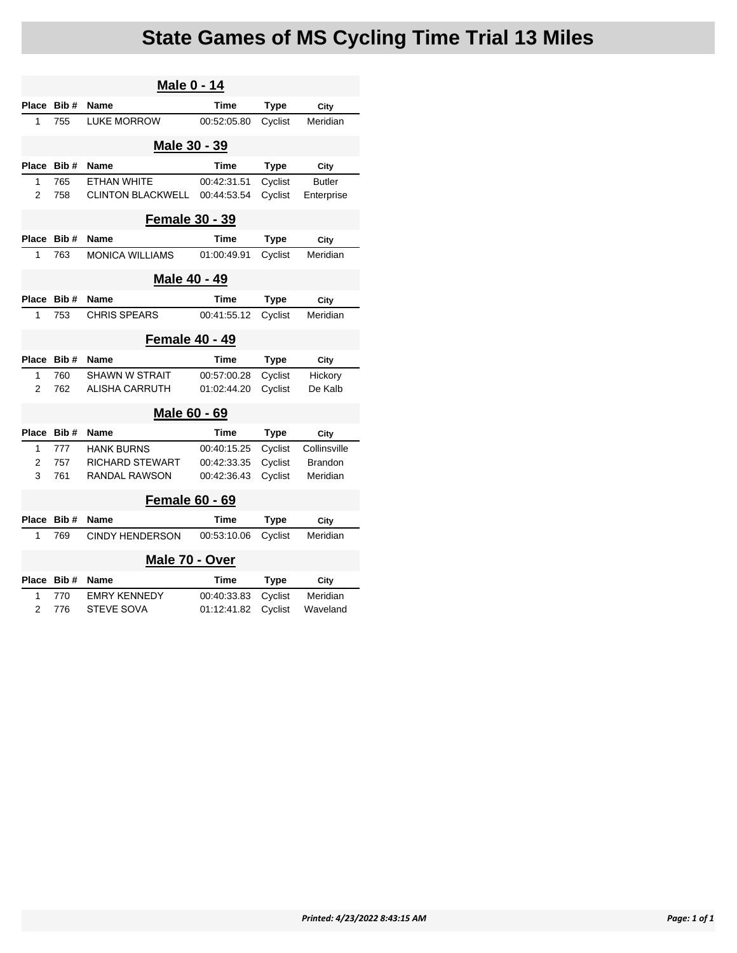## **State Games of MS Cycling Time Trial 13 Miles**

| <b>Male 0 - 14</b> |                       |                          |             |             |                |  |  |  |  |
|--------------------|-----------------------|--------------------------|-------------|-------------|----------------|--|--|--|--|
| Place              | Bib#                  | Name                     | Time        | <b>Type</b> | City           |  |  |  |  |
| 1                  | 755                   | <b>LUKE MORROW</b>       | 00:52:05.80 | Cyclist     | Meridian       |  |  |  |  |
|                    |                       | Male 30 - 39             |             |             |                |  |  |  |  |
| <b>Place</b>       | Bib#                  | Name                     | Time        | <b>Type</b> | City           |  |  |  |  |
| 1                  | 765                   | <b>ETHAN WHITE</b>       | 00:42:31.51 | Cyclist     | <b>Butler</b>  |  |  |  |  |
| $\overline{2}$     | 758                   | <b>CLINTON BLACKWELL</b> | 00:44:53.54 | Cyclist     | Enterprise     |  |  |  |  |
|                    | <b>Female 30 - 39</b> |                          |             |             |                |  |  |  |  |
| <b>Place</b>       | Bib#                  | Name                     | Time        | <b>Type</b> | City           |  |  |  |  |
| 1                  | 763                   | <b>MONICA WILLIAMS</b>   | 01:00:49.91 | Cyclist     | Meridian       |  |  |  |  |
|                    |                       | Male 40 - 49             |             |             |                |  |  |  |  |
| Place              | Bib#                  | <b>Name</b>              | Time        | <b>Type</b> | City           |  |  |  |  |
| 1                  | 753                   | <b>CHRIS SPEARS</b>      | 00:41:55.12 | Cyclist     | Meridian       |  |  |  |  |
|                    |                       | <b>Female 40 - 49</b>    |             |             |                |  |  |  |  |
| <b>Place</b>       | Bib#                  | Name                     | Time        | <b>Type</b> |                |  |  |  |  |
|                    |                       |                          |             |             | City           |  |  |  |  |
| 1                  | 760                   | <b>SHAWN W STRAIT</b>    | 00:57:00.28 | Cyclist     | Hickory        |  |  |  |  |
| $\overline{2}$     | 762                   | ALISHA CARRUTH           | 01:02:44.20 | Cyclist     | De Kalb        |  |  |  |  |
|                    |                       | Male 60 - 69             |             |             |                |  |  |  |  |
| Place              | Bib#                  | Name                     | Time        | <b>Type</b> | City           |  |  |  |  |
| 1                  | 777                   | <b>HANK BURNS</b>        | 00:40:15.25 | Cyclist     | Collinsville   |  |  |  |  |
| 2                  | 757                   | <b>RICHARD STEWART</b>   | 00:42:33.35 | Cyclist     | <b>Brandon</b> |  |  |  |  |
| 3                  | 761                   | <b>RANDAL RAWSON</b>     | 00:42:36.43 | Cyclist     | Meridian       |  |  |  |  |
|                    |                       | <b>Female 60 - 69</b>    |             |             |                |  |  |  |  |
| Place              | Bib#                  | Name                     | Time        | <b>Type</b> | City           |  |  |  |  |
| 1                  | 769                   | <b>CINDY HENDERSON</b>   | 00:53:10.06 | Cyclist     | Meridian       |  |  |  |  |
|                    |                       | Male 70 - Over           |             |             |                |  |  |  |  |
| Place              | Bib#                  | <b>Name</b>              | Time        | Type        | City           |  |  |  |  |
| 1                  | 770                   | <b>EMRY KENNEDY</b>      | 00:40:33.83 | Cyclist     | Meridian       |  |  |  |  |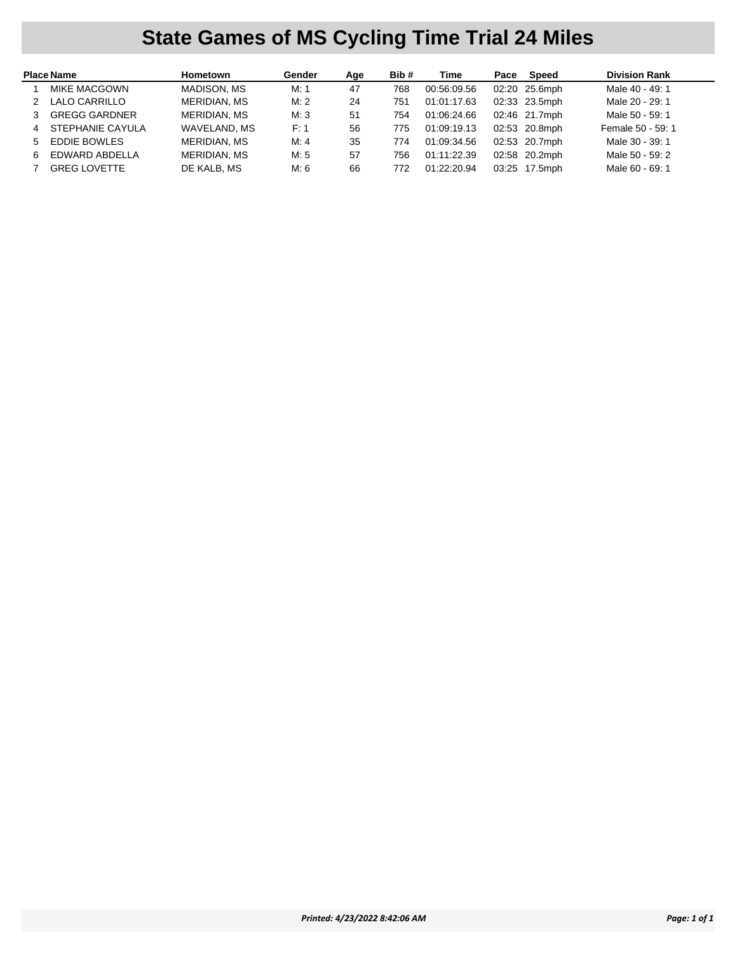## **State Games of MS Cycling Time Trial 24 Miles**

|   | <b>Place Name</b>    | Hometown            | Gender | Age | Bib# | Time        | Pace | Speed         | <b>Division Rank</b> |
|---|----------------------|---------------------|--------|-----|------|-------------|------|---------------|----------------------|
|   | <b>MIKE MACGOWN</b>  | MADISON, MS         | M. 1   | 47  | 768  | 00:56:09.56 |      | 02:20 25.6mph | Male 40 - 49: 1      |
|   | LALO CARRILLO        | <b>MERIDIAN, MS</b> | M:2    | 24  | 751  | 01:01:17.63 |      | 02:33 23.5mph | Male 20 - 29: 1      |
| 3 | <b>GREGG GARDNER</b> | <b>MERIDIAN, MS</b> | M.3    | -51 | 754  | 01:06:24.66 |      | 02:46 21.7mph | Male 50 - 59: 1      |
| 4 | STEPHANIE CAYULA     | WAVELAND, MS        | F: 1   | 56  | 775  | 01:09:19.13 |      | 02:53 20.8mph | Female 50 - 59: 1    |
| 5 | <b>EDDIE BOWLES</b>  | <b>MERIDIAN, MS</b> | M: 4   | 35  | 774  | 01:09:34.56 |      | 02:53 20.7mph | Male 30 - 39: 1      |
| 6 | EDWARD ABDELLA       | <b>MERIDIAN, MS</b> | M: 5   | 57  | 756  | 01:11:22.39 |      | 02:58 20.2mph | Male 50 - 59: 2      |
|   | <b>GREG LOVETTE</b>  | DE KALB. MS         | M: 6   | 66  | 772  | 01:22:20.94 |      | 03:25 17.5mph | Male 60 - 69: 1      |